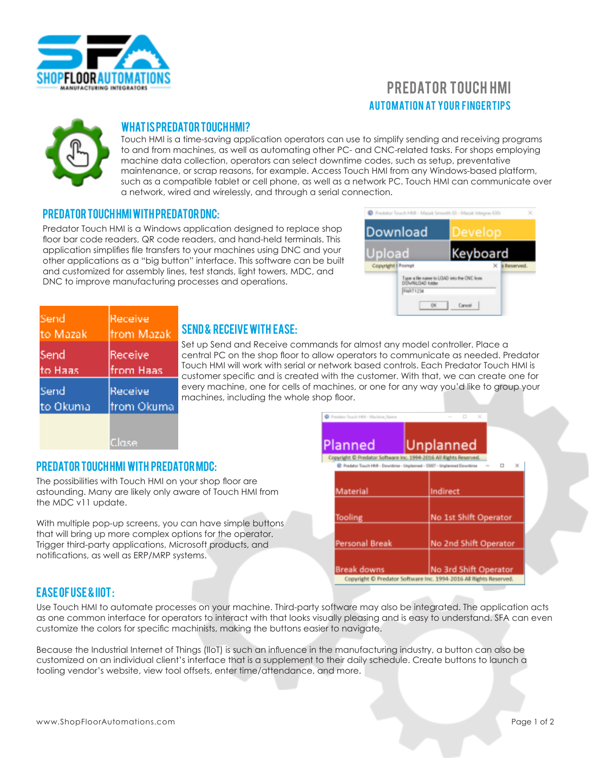

# **AUTOMATION AT YOUR FINGERTIPS** PREDATOR TOUCH HMI



#### What is Predator Touch HMI?

Touch HMI is a time-saving application operators can use to simplify sending and receiving programs to and from machines, as well as automating other PC- and CNC-related tasks. For shops employing machine data collection, operators can select downtime codes, such as setup, preventative maintenance, or scrap reasons, for example. Access Touch HMI from any Windows-based platform, such as a compatible tablet or cell phone, as well as a network PC. Touch HMI can communicate over a network, wired and wirelessly, and through a serial connection.

#### Predator Touch HMI with Predator DNC:

Predator Touch HMI is a Windows application designed to replace shop floor bar code readers, QR code readers, and hand-held terminals. This application simplifies file transfers to your machines using DNC and your other applications as a "big button" interface. This software can be built and customized for assembly lines, test stands, light towers, MDC, and DNC to improve manufacturing processes and operations.



| Send      | Receive     |
|-----------|-------------|
| to Mazak  | from Mazak  |
| Send      | Receive     |
| to Haas   | lfrom Haas  |
| Send      | Receive     |
| lto Okuma | ltrom Okuma |

### Send & receive with ease:

Set up Send and Receive commands for almost any model controller. Place a central PC on the shop floor to allow operators to communicate as needed. Predator Touch HMI will work with serial or network based controls. Each Predator Touch HMI is customer specific and is created with the customer. With that, we can create one for every machine, one for cells of machines, or one for any way you'd like to group your machines, including the whole shop floor.



#### Predator Touch HMI with Predator MDC:

The possibilities with Touch HMI on your shop floor are astounding. Many are likely only aware of Touch HMI from the MDC v11 update.

With multiple pop-up screens, you can have simple buttons that will bring up more complex options for the operator. Trigger third-party applications, Microsoft products, and notifications, as well as ERP/MRP systems.



## Ease of use & IIoT :

Use Touch HMI to automate processes on your machine. Third-party software may also be integrated. The application acts as one common interface for operators to interact with that looks visually pleasing and is easy to understand. SFA can even customize the colors for specific machinists, making the buttons easier to navigate.

Because the Industrial Internet of Things (IIoT) is such an influence in the manufacturing industry, a button can also be customized on an individual client's interface that is a supplement to their daily schedule. Create buttons to launch a tooling vendor's website, view tool offsets, enter time/attendance, and more.